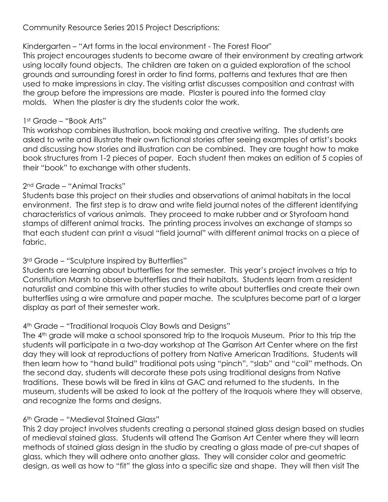Community Resource Series 2015 Project Descriptions:

# Kindergarten – "Art forms in the local environment - The Forest Floor"

This project encourages students to become aware of their environment by creating artwork using locally found objects. The children are taken on a guided exploration of the school grounds and surrounding forest in order to find forms, patterns and textures that are then used to make impressions in clay. The visiting artist discusses composition and contrast with the group before the impressions are made. Plaster is poured into the formed clay molds. When the plaster is dry the students color the work.

#### 1st Grade – "Book Arts"

This workshop combines illustration, book making and creative writing. The students are asked to write and illustrate their own fictional stories after seeing examples of artist's books and discussing how stories and illustration can be combined. They are taught how to make book structures from 1-2 pieces of paper. Each student then makes an edition of 5 copies of their "book" to exchange with other students.

### 2nd Grade – "Animal Tracks"

Students base this project on their studies and observations of animal habitats in the local environment. The first step is to draw and write field journal notes of the different identifying characteristics of various animals. They proceed to make rubber and or Styrofoam hand stamps of different animal tracks. The printing process involves an exchange of stamps so that each student can print a visual "field journal" with different animal tracks on a piece of fabric.

### 3<sup>rd</sup> Grade – "Sculpture inspired by Butterflies"

Students are learning about butterflies for the semester. This year's project involves a trip to Constitution Marsh to observe butterflies and their habitats. Students learn from a resident naturalist and combine this with other studies to write about butterflies and create their own butterflies using a wire armature and paper mache. The sculptures become part of a larger display as part of their semester work.

# 4th Grade – "Traditional Iroquois Clay Bowls and Designs"

The 4<sup>th</sup> grade will make a school sponsored trip to the Iroquois Museum. Prior to this trip the students will participate in a two-day workshop at The Garrison Art Center where on the first day they will look at reproductions of pottery from Native American Traditions. Students will then learn how to "hand build" traditional pots using "pinch", "slab" and "coil" methods. On the second day, students will decorate these pots using traditional designs from Native traditions. These bowls will be fired in kilns at GAC and returned to the students. In the museum, students will be asked to look at the pottery of the Iroquois where they will observe, and recognize the forms and designs.

# 6th Grade – "Medieval Stained Glass"

This 2 day project involves students creating a personal stained glass design based on studies of medieval stained glass. Students will attend The Garrison Art Center where they will learn methods of stained glass design in the studio by creating a glass made of pre-cut shapes of glass, which they will adhere onto another glass. They will consider color and geometric design, as well as how to "fit" the glass into a specific size and shape. They will then visit The